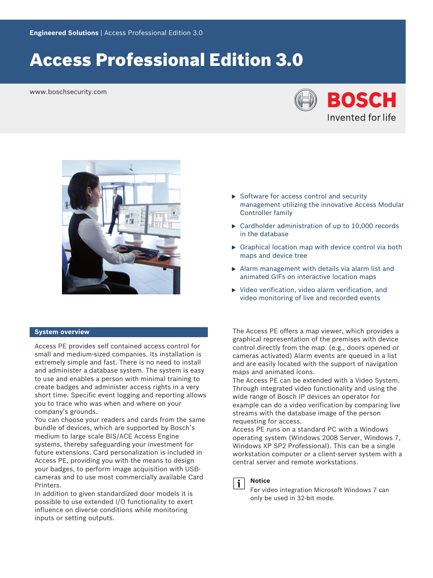# Access Professional Edition 3.0

www.boschsecurity.com





# **System overview**

Access PE provides self contained access control for small and medium-sized companies. Its installation is extremely simple and fast. There is no need to install and administer a database system. The system is easy to use and enables a person with minimal training to create badges and administer access rights in a very short time. Specific event logging and reporting allows you to trace who was when and where on your company's grounds.

You can choose your readers and cards from the same bundle of devices, which are supported by Bosch's medium to large scale BIS/ACE Access Engine systems, thereby safeguarding your investment for future extensions. Card personalization is included in Access PE, providing you with the means to design your badges, to perform image acquisition with USBcameras and to use most commercially available Card Printers.

In addition to given standardized door models it is possible to use extended I/O functionality to exert influence on diverse conditions while monitoring inputs or setting outputs.

- $\triangleright$  Software for access control and security management utilizing the innovative Access Modular Controller family
- $\triangleright$  Cardholder administration of up to 10,000 records in the database
- $\triangleright$  Graphical location map with device control via both maps and device tree
- $\blacktriangleright$  Alarm management with details via alarm list and animated GIFs on interactive location maps
- $\triangleright$  Video verification, video alarm verification, and video monitoring of live and recorded events

The Access PE offers a map viewer, which provides a graphical representation of the premises with device control directly from the map. (e.g., doors opened or cameras activated) Alarm events are queued in a list and are easily located with the support of navigation maps and animated icons.

The Access PE can be extended with a Video System. Through integrated video functionality and using the wide range of Bosch IP devices an operator for example can do a video verification by comparing live streams with the database image of the person requesting for access.

Access PE runs on a standard PC with a Windows operating system (Windows 2008 Server, Windows 7, Windows XP SP2 Professional). This can be a single workstation computer or a client-server system with a central server and remote workstations.



# **Notice**

For video integration Microsoft Windows 7 can only be used in 32-bit mode.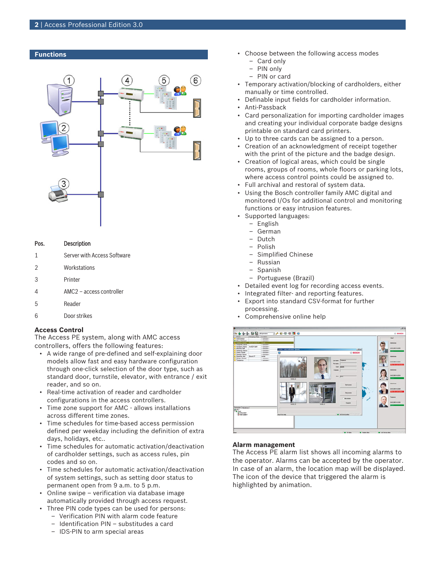### **Functions**



#### Pos. Description

- 1 Server with Access Software
- 2 Workstations
- 3 Printer
- 4 AMC2 access controller
- 5 Reader
- 6 Door strikes

#### **Access Control**

The Access PE system, along with AMC access controllers, offers the following features:

- A wide range of pre-defined and self-explaining door models allow fast and easy hardware configuration through one-click selection of the door type, such as standard door, turnstile, elevator, with entrance / exit reader, and so on.
- Real-time activation of reader and cardholder configurations in the access controllers.
- Time zone support for AMC allows installations across different time zones.
- Time schedules for time-based access permission defined per weekday including the definition of extra days, holidays, etc..
- Time schedules for automatic activation/deactivation of cardholder settings, such as access rules, pin codes and so on.
- Time schedules for automatic activation/deactivation of system settings, such as setting door status to permanent open from 9 a.m. to 5 p.m.
- Online swipe verification via database image automatically provided through access request.
- Three PIN code types can be used for persons:
	- Verification PIN with alarm code feature
	- Identification PIN substitudes a card
	- IDS-PIN to arm special areas
- Choose between the following access modes
	- Card only – PIN only
	- PIN or card
- Temporary activation/blocking of cardholders, either
	- manually or time controlled.
- Definable input fields for cardholder information.
- Anti-Passback
- Card personalization for importing cardholder images and creating your individual corporate badge designs printable on standard card printers.
- Up to three cards can be assigned to a person.
- Creation of an acknowledgment of receipt together with the print of the picture and the badge design.
- Creation of logical areas, which could be single rooms, groups of rooms, whole floors or parking lots, where access control points could be assigned to.
- Full archival and restoral of system data.
- Using the Bosch controller family AMC digital and monitored I/Os for additional control and monitoring functions or easy intrusion features.
- Supported languages:
	- English
	- German
	- Dutch
	- Polish
	- Simplified Chinese
	- Russian
	- Spanish
	- Portuguese (Brazil)
- Detailed event log for recording access events.
- Integrated filter- and reporting features.
- Export into standard CSV-format for further processing.
- Comprehensive online help



#### **Alarm management**

The Access PE alarm list shows all incoming alarms to the operator. Alarms can be accepted by the operator. In case of an alarm, the location map will be displayed. The icon of the device that triggered the alarm is highlighted by animation.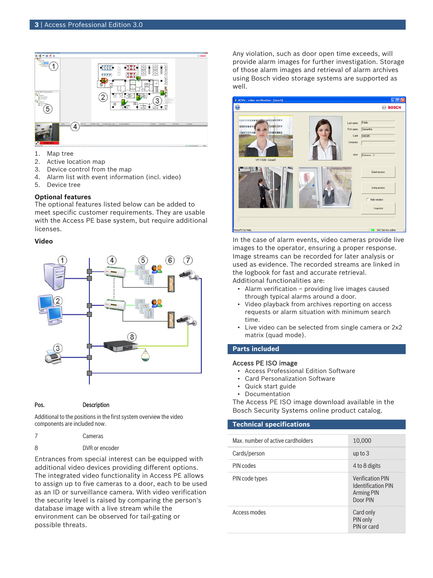

- 1. Map tree
- 2. Active location map
- 3. Device control from the map
- 4. Alarm list with event information (incl. video)
- 5. Device tree

### **Optional features**

The optional features listed below can be added to meet specific customer requirements. They are usable with the Access PE base system, but require additional licenses.

# **Video**



Pos. Description

Additional to the positions in the first system overview the video

| components are included now. |         |
|------------------------------|---------|
|                              | Cameras |

8 DVR or encoder

Entrances from special interest can be equipped with additional video devices providing different options. The integrated video functionality in Access PE allows to assign up to five cameras to a door, each to be used as an ID or surveillance camera. With video verification the security level is raised by comparing the person's database image with a live stream while the environment can be observed for tail-gating or possible threats.

Any violation, such as door open time exceeds, will provide alarm images for further investigation. Storage of those alarm images and retrieval of alarm archives using Bosch video storage systems are supported as well.



In the case of alarm events, video cameras provide live images to the operator, ensuring a proper response. Image streams can be recorded for later analysis or used as evidence. The recorded streams are linked in the logbook for fast and accurate retrieval. Additional functionalities are:

- Alarm verification providing live images caused through typical alarms around a door.
- Video playback from archives reporting on access requests or alarm situation with minimum search time.
- Live video can be selected from single camera or 2x2 matrix (quad mode).

# **Parts included**

#### Access PE ISO image

- Access Professional Edition Software
- Card Personalization Software
- Quick start guide
- Documentation

The Access PE ISO image download available in the Bosch Security Systems online product catalog.

### **Technical specifications**

| Max, number of active cardholders | 10,000                                                                         |
|-----------------------------------|--------------------------------------------------------------------------------|
| Cards/person                      | up to $3$                                                                      |
| PIN codes                         | 4 to 8 digits                                                                  |
| PIN code types                    | <b>Verification PIN</b><br><b>Identification PIN</b><br>Arming PIN<br>Door PIN |
| Access modes                      | Card only<br>PIN only<br>PIN or card                                           |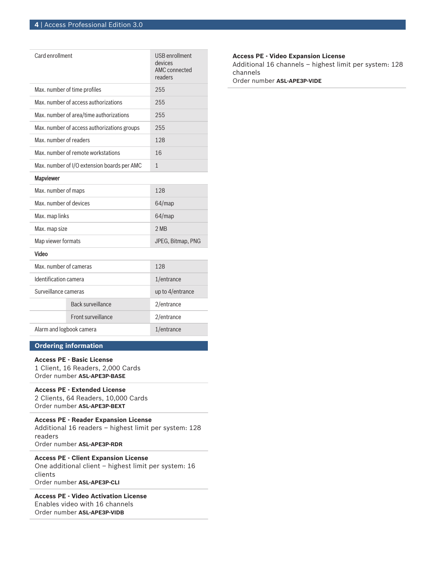| Card enrollment                             | <b>USB</b> enrollment<br>devices<br><b>AMC</b> connected<br>readers |
|---------------------------------------------|---------------------------------------------------------------------|
| Max. number of time profiles                | 255                                                                 |
| Max, number of access authorizations        | 255                                                                 |
| Max. number of area/time authorizations     | 255                                                                 |
| Max. number of access authorizations groups | 255                                                                 |
| Max. number of readers                      | 128                                                                 |
| Max, number of remote workstations          | 16                                                                  |
| Max. number of I/O extension boards per AMC | $\mathbf{1}$                                                        |
| Mapviewer                                   |                                                                     |
| Max. number of maps                         | 128                                                                 |
| Max, number of devices                      | 64/map                                                              |
| Max. map links                              | 64/map                                                              |
| Max. map size                               | 2 MB                                                                |
| Map viewer formats                          | JPEG, Bitmap, PNG                                                   |
| Video                                       |                                                                     |
| Max. number of cameras                      | 128                                                                 |
| Identification camera                       | 1/entrance                                                          |

| Identification camera    |                           | 1/entrance          |
|--------------------------|---------------------------|---------------------|
| Surveillance cameras     |                           | up to $4$ /entrance |
|                          | Back surveillance         | 2/entrance          |
|                          | <b>Eront surveillance</b> | 2/entrance          |
| Alarm and logbook camera |                           | 1/entrance          |
|                          |                           |                     |

# **Ordering information**

# **Access PE - Basic License**

1 Client, 16 Readers, 2,000 Cards Order number **ASL-APE3P-BASE**

# **Access PE - Extended License**

2 Clients, 64 Readers, 10,000 Cards Order number **ASL-APE3P-BEXT**

#### **Access PE - Reader Expansion License**

Additional 16 readers – highest limit per system: 128 readers Order number **ASL-APE3P-RDR**

# **Access PE - Client Expansion License**

One additional client – highest limit per system: 16 clients

Order number **ASL-APE3P-CLI**

# **Access PE - Video Activation License** Enables video with 16 channels Order number **ASL-APE3P-VIDB**

**Access PE - Video Expansion License**

Additional 16 channels – highest limit per system: 128 channels

Order number **ASL-APE3P-VIDE**